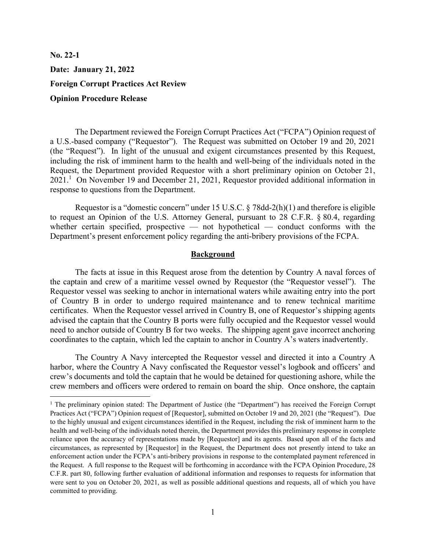No. 22-1 Date: January 21, 2022 Foreign Corrupt Practices Act Review Opinion Procedure Release

 The Department reviewed the Foreign Corrupt Practices Act ("FCPA") Opinion request of a U.S.-based company ("Requestor"). The Request was submitted on October 19 and 20, 2021 (the "Request"). In light of the unusual and exigent circumstances presented by this Request, including the risk of imminent harm to the health and well-being of the individuals noted in the Request, the Department provided Requestor with a short preliminary opinion on October 21, 2021.<sup>1</sup> On November 19 and December 21, 2021, Requestor provided additional information in response to questions from the Department.

Requestor is a "domestic concern" under 15 U.S.C. § 78dd-2(h)(1) and therefore is eligible to request an Opinion of the U.S. Attorney General, pursuant to 28 C.F.R. § 80.4, regarding whether certain specified, prospective — not hypothetical — conduct conforms with the Department's present enforcement policy regarding the anti-bribery provisions of the FCPA.

## Background

The facts at issue in this Request arose from the detention by Country A naval forces of the captain and crew of a maritime vessel owned by Requestor (the "Requestor vessel"). The Requestor vessel was seeking to anchor in international waters while awaiting entry into the port of Country B in order to undergo required maintenance and to renew technical maritime certificates. When the Requestor vessel arrived in Country B, one of Requestor's shipping agents advised the captain that the Country B ports were fully occupied and the Requestor vessel would need to anchor outside of Country B for two weeks. The shipping agent gave incorrect anchoring coordinates to the captain, which led the captain to anchor in Country A's waters inadvertently.

The Country A Navy intercepted the Requestor vessel and directed it into a Country A harbor, where the Country A Navy confiscated the Requestor vessel's logbook and officers' and crew's documents and told the captain that he would be detained for questioning ashore, while the crew members and officers were ordered to remain on board the ship. Once onshore, the captain

<sup>&</sup>lt;sup>1</sup> The preliminary opinion stated: The Department of Justice (the "Department") has received the Foreign Corrupt Practices Act ("FCPA") Opinion request of [Requestor], submitted on October 19 and 20, 2021 (the "Request"). Due to the highly unusual and exigent circumstances identified in the Request, including the risk of imminent harm to the health and well-being of the individuals noted therein, the Department provides this preliminary response in complete reliance upon the accuracy of representations made by [Requestor] and its agents. Based upon all of the facts and circumstances, as represented by [Requestor] in the Request, the Department does not presently intend to take an enforcement action under the FCPA's anti-bribery provisions in response to the contemplated payment referenced in the Request. A full response to the Request will be forthcoming in accordance with the FCPA Opinion Procedure, 28 C.F.R. part 80, following further evaluation of additional information and responses to requests for information that were sent to you on October 20, 2021, as well as possible additional questions and requests, all of which you have committed to providing.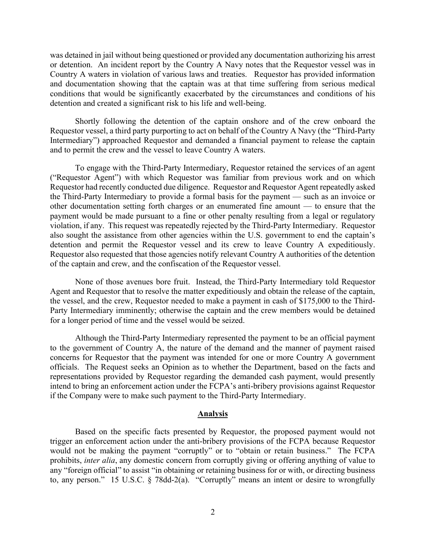was detained in jail without being questioned or provided any documentation authorizing his arrest or detention. An incident report by the Country A Navy notes that the Requestor vessel was in Country A waters in violation of various laws and treaties. Requestor has provided information and documentation showing that the captain was at that time suffering from serious medical conditions that would be significantly exacerbated by the circumstances and conditions of his detention and created a significant risk to his life and well-being.

Shortly following the detention of the captain onshore and of the crew onboard the Requestor vessel, a third party purporting to act on behalf of the Country A Navy (the "Third-Party Intermediary") approached Requestor and demanded a financial payment to release the captain and to permit the crew and the vessel to leave Country A waters.

To engage with the Third-Party Intermediary, Requestor retained the services of an agent ("Requestor Agent") with which Requestor was familiar from previous work and on which Requestor had recently conducted due diligence. Requestor and Requestor Agent repeatedly asked the Third-Party Intermediary to provide a formal basis for the payment — such as an invoice or other documentation setting forth charges or an enumerated fine amount — to ensure that the payment would be made pursuant to a fine or other penalty resulting from a legal or regulatory violation, if any. This request was repeatedly rejected by the Third-Party Intermediary. Requestor also sought the assistance from other agencies within the U.S. government to end the captain's detention and permit the Requestor vessel and its crew to leave Country A expeditiously. Requestor also requested that those agencies notify relevant Country A authorities of the detention of the captain and crew, and the confiscation of the Requestor vessel.

None of those avenues bore fruit. Instead, the Third-Party Intermediary told Requestor Agent and Requestor that to resolve the matter expeditiously and obtain the release of the captain, the vessel, and the crew, Requestor needed to make a payment in cash of \$175,000 to the Third-Party Intermediary imminently; otherwise the captain and the crew members would be detained for a longer period of time and the vessel would be seized.

Although the Third-Party Intermediary represented the payment to be an official payment to the government of Country A, the nature of the demand and the manner of payment raised concerns for Requestor that the payment was intended for one or more Country A government officials. The Request seeks an Opinion as to whether the Department, based on the facts and representations provided by Requestor regarding the demanded cash payment, would presently intend to bring an enforcement action under the FCPA's anti-bribery provisions against Requestor if the Company were to make such payment to the Third-Party Intermediary.

## Analysis

Based on the specific facts presented by Requestor, the proposed payment would not trigger an enforcement action under the anti-bribery provisions of the FCPA because Requestor would not be making the payment "corruptly" or to "obtain or retain business." The FCPA prohibits, inter alia, any domestic concern from corruptly giving or offering anything of value to any "foreign official" to assist "in obtaining or retaining business for or with, or directing business to, any person." 15 U.S.C. § 78dd-2(a). "Corruptly" means an intent or desire to wrongfully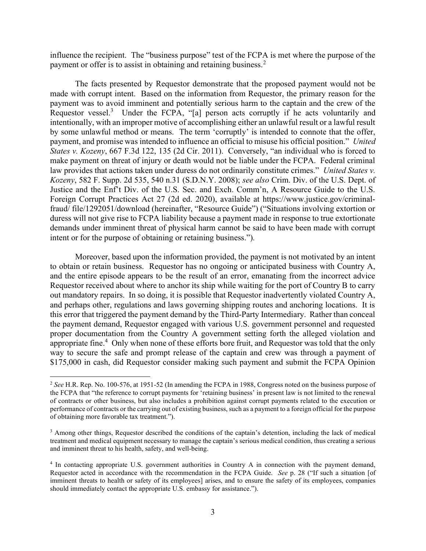influence the recipient. The "business purpose" test of the FCPA is met where the purpose of the payment or offer is to assist in obtaining and retaining business.<sup>2</sup>

The facts presented by Requestor demonstrate that the proposed payment would not be made with corrupt intent. Based on the information from Requestor, the primary reason for the payment was to avoid imminent and potentially serious harm to the captain and the crew of the Requestor vessel.<sup>3</sup> Under the FCPA, "[a] person acts corruptly if he acts voluntarily and intentionally, with an improper motive of accomplishing either an unlawful result or a lawful result by some unlawful method or means. The term 'corruptly' is intended to connote that the offer, payment, and promise was intended to influence an official to misuse his official position." United States v. Kozeny, 667 F.3d 122, 135 (2d Cir. 2011). Conversely, "an individual who is forced to make payment on threat of injury or death would not be liable under the FCPA. Federal criminal law provides that actions taken under duress do not ordinarily constitute crimes." United States v. Kozeny, 582 F. Supp. 2d 535, 540 n.31 (S.D.N.Y. 2008); see also Crim. Div. of the U.S. Dept. of Justice and the Enf't Div. of the U.S. Sec. and Exch. Comm'n, A Resource Guide to the U.S. Foreign Corrupt Practices Act 27 (2d ed. 2020), available at https://www.justice.gov/criminalfraud/ file/1292051/download (hereinafter, "Resource Guide") ("Situations involving extortion or duress will not give rise to FCPA liability because a payment made in response to true extortionate demands under imminent threat of physical harm cannot be said to have been made with corrupt intent or for the purpose of obtaining or retaining business.").

Moreover, based upon the information provided, the payment is not motivated by an intent to obtain or retain business. Requestor has no ongoing or anticipated business with Country A, and the entire episode appears to be the result of an error, emanating from the incorrect advice Requestor received about where to anchor its ship while waiting for the port of Country B to carry out mandatory repairs. In so doing, it is possible that Requestor inadvertently violated Country A, and perhaps other, regulations and laws governing shipping routes and anchoring locations. It is this error that triggered the payment demand by the Third-Party Intermediary. Rather than conceal the payment demand, Requestor engaged with various U.S. government personnel and requested proper documentation from the Country A government setting forth the alleged violation and appropriate fine.<sup>4</sup> Only when none of these efforts bore fruit, and Requestor was told that the only way to secure the safe and prompt release of the captain and crew was through a payment of \$175,000 in cash, did Requestor consider making such payment and submit the FCPA Opinion

<sup>&</sup>lt;sup>2</sup> See H.R. Rep. No. 100-576, at 1951-52 (In amending the FCPA in 1988, Congress noted on the business purpose of the FCPA that "the reference to corrupt payments for 'retaining business' in present law is not limited to the renewal of contracts or other business, but also includes a prohibition against corrupt payments related to the execution or performance of contracts or the carrying out of existing business, such as a payment to a foreign official for the purpose of obtaining more favorable tax treatment.").

<sup>&</sup>lt;sup>3</sup> Among other things, Requestor described the conditions of the captain's detention, including the lack of medical treatment and medical equipment necessary to manage the captain's serious medical condition, thus creating a serious and imminent threat to his health, safety, and well-being.

<sup>4</sup> In contacting appropriate U.S. government authorities in Country A in connection with the payment demand, Requestor acted in accordance with the recommendation in the FCPA Guide. See p. 28 ("If such a situation [of imminent threats to health or safety of its employees] arises, and to ensure the safety of its employees, companies should immediately contact the appropriate U.S. embassy for assistance.").